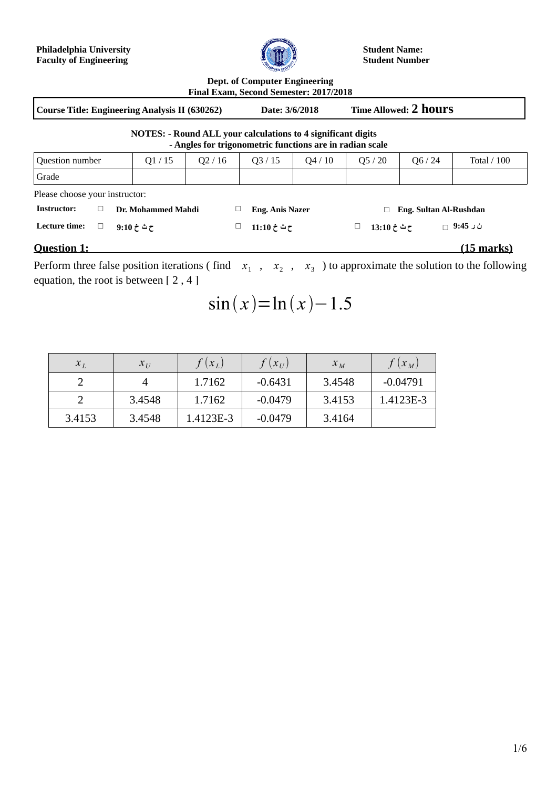**Philadelphia University Faculty of Engineering**



**Student Name: Student Number**

| <b>Dept. of Computer Engineering</b>   |  |
|----------------------------------------|--|
| Final Exam, Second Semester: 2017/2018 |  |

**Course Title: Engineering Analysis II (630262) Date: 3/6/2018 Time Allowed: 2 hours**

| <b>NOTES: - Round ALL your calculations to 4 significant digits</b> |
|---------------------------------------------------------------------|
| - Angles for trigonometric functions are in radian scale            |

|                                |                                  |                    |  |                        | <i>mights for trigonometric nunctions are in ruthun searc</i> |                  |                        |                   |
|--------------------------------|----------------------------------|--------------------|--|------------------------|---------------------------------------------------------------|------------------|------------------------|-------------------|
| Question number                | Q1/15<br>Q2/16<br>Q3/15<br>Q4/10 |                    |  |                        | Q5/20                                                         | Q6 / 24          | Total $/ 100$          |                   |
| Grade                          |                                  |                    |  |                        |                                                               |                  |                        |                   |
| Please choose your instructor: |                                  |                    |  |                        |                                                               |                  |                        |                   |
| <b>Instructor:</b>             |                                  | Dr. Mohammed Mahdi |  | <b>Eng. Anis Nazer</b> |                                                               |                  | Eng. Sultan Al-Rushdan |                   |
| Lecture time:<br>$\Box$        |                                  | 9:10 خ $\tau$      |  | ح ٹ خ 11:10            |                                                               | ح ٹ خ 13:10<br>ш |                        | ن ر 9:45 ⊣        |
| <b>Question 1:</b>             |                                  |                    |  |                        |                                                               |                  |                        | <u>(15 marks)</u> |

Perform three false position iterations (find  $x_1$ ,  $x_2$ ,  $x_3$ ) to approximate the solution to the following equation, the root is between [ 2 , 4 ]

 $\sin(x) = \ln(x) - 1.5$ 

| $x_L$  | $x_{\scriptscriptstyle II}$ | $(x_L)$   | $(x_U)$   | $x_{M}$ | $(x_M)$    |
|--------|-----------------------------|-----------|-----------|---------|------------|
|        |                             | 1.7162    | $-0.6431$ | 3.4548  | $-0.04791$ |
|        | 3.4548                      | 1.7162    | $-0.0479$ | 3.4153  | 1.4123E-3  |
| 3.4153 | 3.4548                      | 1.4123E-3 | $-0.0479$ | 3.4164  |            |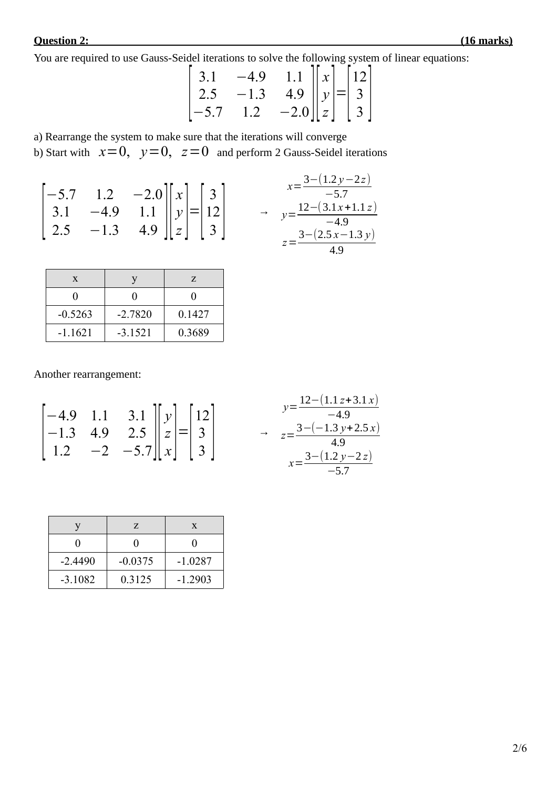## **Question 2: (16 marks)**

You are required to use Gauss-Seidel iterations to solve the following system of linear equations:

$$
\begin{bmatrix} 3.1 & -4.9 & 1.1 \ 2.5 & -1.3 & 4.9 \ -5.7 & 1.2 & -2.0 \ \end{bmatrix} \begin{bmatrix} x \ y \ z \end{bmatrix} = \begin{bmatrix} 12 \ 3 \ 3 \end{bmatrix}
$$

a) Rearrange the system to make sure that the iterations will converge

b) Start with  $x=0$ ,  $y=0$ ,  $z=0$  and perform 2 Gauss-Seidel iterations

| $\begin{bmatrix} -5.7 & 1.2 & -2.0 \\ 3.1 & -4.9 & 1.1 \\ 2.5 & -1.3 & 4.9 \end{bmatrix} \begin{bmatrix} x \\ y \\ z \end{bmatrix} = \begin{bmatrix} 3 \\ 12 \\ 3 \end{bmatrix}$ |  |  | $x=\frac{3-(1.2y-2z)}{-5.7}$<br>$\rightarrow y=\frac{12-(3.1x+1.1z)}{-4.9}$<br>$z=\frac{3-(2.5x-1.3y)}{x}$ |
|----------------------------------------------------------------------------------------------------------------------------------------------------------------------------------|--|--|------------------------------------------------------------------------------------------------------------|
|                                                                                                                                                                                  |  |  |                                                                                                            |

| X         |           | Z.     |
|-----------|-----------|--------|
|           |           |        |
| $-0.5263$ | $-2.7820$ | 0.1427 |
| $-1.1621$ | $-3.1521$ | 0.3689 |

Another rearrangement:

$$
\begin{bmatrix} -4.9 & 1.1 & 3.1 \ -1.3 & 4.9 & 2.5 \ 1.2 & -2 & -5.7 \ \end{bmatrix} \begin{bmatrix} y \ z \ x \end{bmatrix} = \begin{bmatrix} 12 \ 3 \ 3 \end{bmatrix}
$$
  

$$
\begin{aligned} y &= \frac{12 - (1.1z + 3.1x)}{-4.9} \\ y &= \frac{3 - (-1.3y + 2.5x)}{4.9} \\ x &= \frac{3 - (1.2y - 2z)}{-5.7} \end{aligned}
$$

|           | Z         | X         |
|-----------|-----------|-----------|
|           |           |           |
| $-2.4490$ | $-0.0375$ | $-1.0287$ |
| $-3.1082$ | 0.3125    | $-1.2903$ |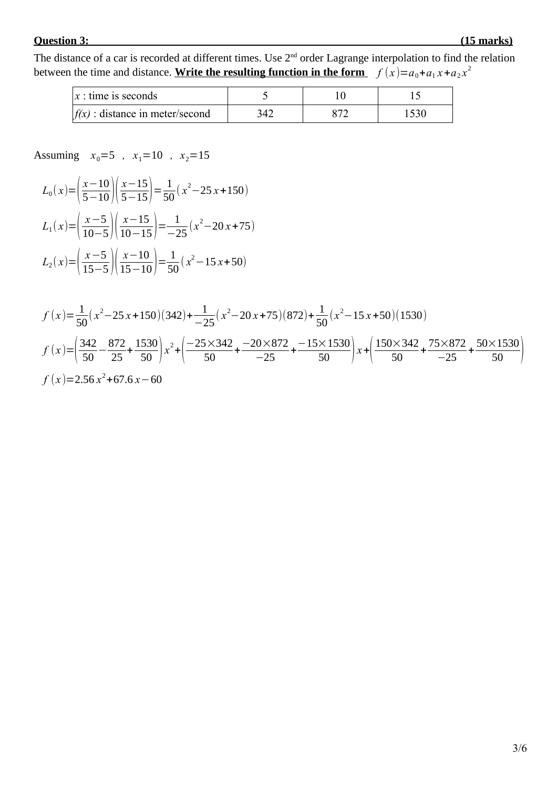### **Question 3: (15 marks)**

The distance of a car is recorded at different times. Use 2<sup>nd</sup> order Lagrange interpolation to find the relation between the time and distance. <u>Write the resulting function in the form  $f(x)=a_0+a_1x+a_2x^2$ </u>

| $x:$ time is seconds              |     |  |
|-----------------------------------|-----|--|
| $f(x)$ : distance in meter/second | 347 |  |

Assuming  $x_0=5$ ,  $x_1=10$ ,  $x_2=15$ 

$$
L_0(x) = \left(\frac{x-10}{5-10}\right) \left(\frac{x-15}{5-15}\right) = \frac{1}{50} (x^2 - 25x + 150)
$$
  
\n
$$
L_1(x) = \left(\frac{x-5}{10-5}\right) \left(\frac{x-15}{10-15}\right) = \frac{1}{-25} (x^2 - 20x + 75)
$$
  
\n
$$
L_2(x) = \left(\frac{x-5}{15-5}\right) \left(\frac{x-10}{15-10}\right) = \frac{1}{50} (x^2 - 15x + 50)
$$

$$
f(x) = \frac{1}{50}(x^2 - 25x + 150)(342) + \frac{1}{-25}(x^2 - 20x + 75)(872) + \frac{1}{50}(x^2 - 15x + 50)(1530)
$$
  

$$
f(x) = \left(\frac{342}{50} - \frac{872}{25} + \frac{1530}{50}\right)x^2 + \left(\frac{-25 \times 342}{50} + \frac{-20 \times 872}{-25} + \frac{-15 \times 1530}{50}\right)x + \left(\frac{150 \times 342}{50} + \frac{75 \times 872}{-25} + \frac{50 \times 1530}{50}\right)
$$
  

$$
f(x) = 2.56x^2 + 67.6x - 60
$$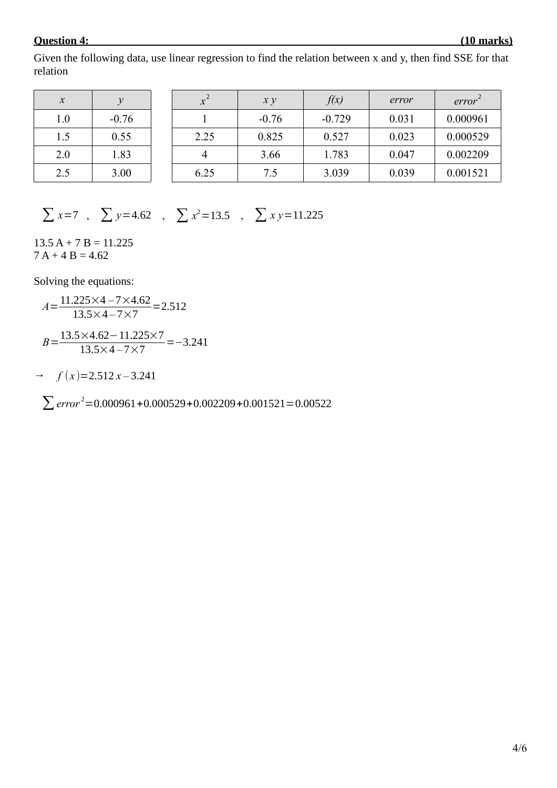#### **Question 4: (10 marks)**

Given the following data, use linear regression to find the relation between x and y, then find SSE for that relation

| $\mathcal{X}$ | v       | $\chi^-$ | x y     | f(x)     | error | error    |
|---------------|---------|----------|---------|----------|-------|----------|
| 1.0           | $-0.76$ |          | $-0.76$ | $-0.729$ | 0.031 | 0.000961 |
| 1.5           | 0.55    | 2.25     | 0.825   | 0.527    | 0.023 | 0.000529 |
| 2.0           | 1.83    |          | 3.66    | 1.783    | 0.047 | 0.002209 |
| 2.5           | 3.00    | 6.25     | 7.5     | 3.039    | 0.039 | 0.001521 |

 $\sum x=7$ ,  $\sum y=4.62$ ,  $\sum x^2=13.5$ ,  $\sum xy=11.225$ 

 $13.5 A + 7 B = 11.225$  $7 A + 4 B = 4.62$ 

Solving the equations:

$$
A = \frac{11.225 \times 4 - 7 \times 4.62}{13.5 \times 4 - 7 \times 7} = 2.512
$$
  

$$
B = \frac{13.5 \times 4.62 - 11.225 \times 7}{13.5 \times 4 - 7 \times 7} = -3.241
$$

 $\rightarrow$  *f* (*x*)=2.512 *x* – 3.241

∑*error* <sup>2</sup>=0.000961+0.000529+0.002209+0.001521=0.00522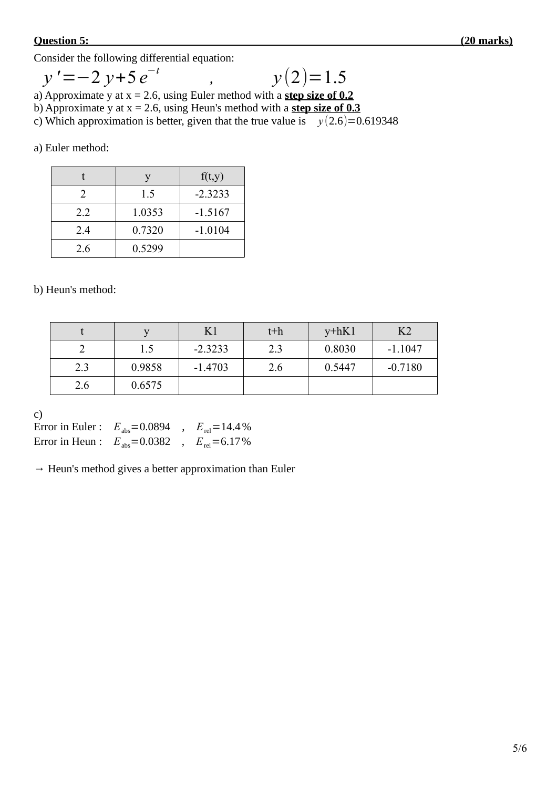#### **Question 5: (20 marks)**

Consider the following differential equation:

$$
y' = -2 y + 5 e^{-t} \qquad , \qquad y(2) = 1.5
$$

a) Approximate y at x = 2.6, using Euler method with a **step size of 0.2**

b) Approximate y at x = 2.6, using Heun's method with a **step size of 0.3**

c) Which approximation is better, given that the true value is  $y(2.6)=0.619348$ 

a) Euler method:

|     |        | f(t,y)    |
|-----|--------|-----------|
|     | 1.5    | $-2.3233$ |
| 2.2 | 1.0353 | $-1.5167$ |
| 2.4 | 0.7320 | $-1.0104$ |
| 2.6 | 0.5299 |           |

b) Heun's method:

|     |        | K1        | $t+h$ | $v + hK1$ | K <sub>2</sub> |
|-----|--------|-----------|-------|-----------|----------------|
|     | 1.5    | $-2.3233$ | 2.3   | 0.8030    | $-1.1047$      |
| 2.3 | 0.9858 | $-1.4703$ | 2.6   | 0.5447    | $-0.7180$      |
| 2.6 | 0.6575 |           |       |           |                |

c)

Error in Euler :  $E_{\text{abs}} = 0.0894$ ,  $E_{\text{rel}} = 14.4\%$ Error in Heun :  $E_{\text{abs}} = 0.0382$ ,  $E_{\text{rel}} = 6.17\%$ 

 $\rightarrow$  Heun's method gives a better approximation than Euler